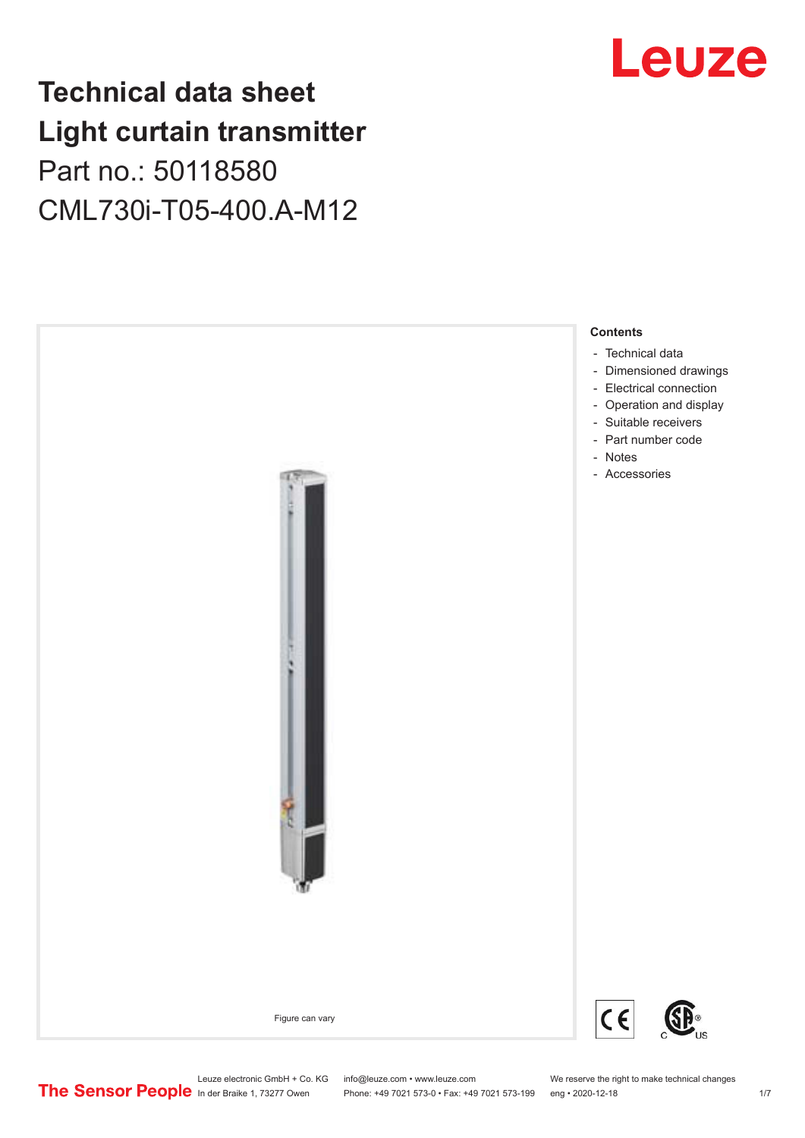## **Technical data sheet Light curtain transmitter** Part no.: 50118580 CML730i-T05-400.A-M12



## Leuze

Leuze electronic GmbH + Co. KG info@leuze.com • www.leuze.com We reserve the right to make technical changes<br>
The Sensor People in der Braike 1, 73277 Owen Phone: +49 7021 573-0 • Fax: +49 7021 573-199 eng • 2020-12-18

Phone: +49 7021 573-0 • Fax: +49 7021 573-199 eng • 2020-12-18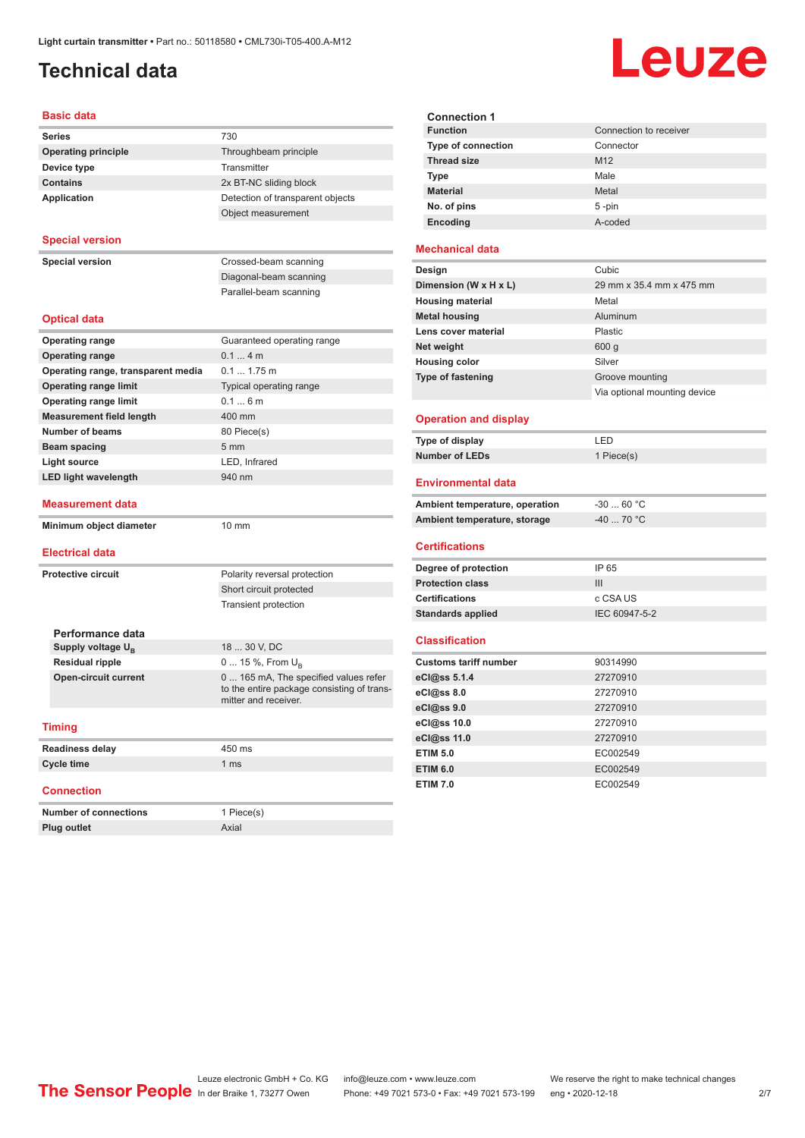## <span id="page-1-0"></span>**Technical data**

# Leuze

| <b>Basic data</b>                  |                                                                    |  |  |  |
|------------------------------------|--------------------------------------------------------------------|--|--|--|
| <b>Series</b>                      | 730                                                                |  |  |  |
| <b>Operating principle</b>         | Throughbeam principle                                              |  |  |  |
| Device type                        | Transmitter                                                        |  |  |  |
| <b>Contains</b>                    | 2x BT-NC sliding block                                             |  |  |  |
| <b>Application</b>                 | Detection of transparent objects                                   |  |  |  |
|                                    | Object measurement                                                 |  |  |  |
| <b>Special version</b>             |                                                                    |  |  |  |
| <b>Special version</b>             | Crossed-beam scanning                                              |  |  |  |
|                                    | Diagonal-beam scanning                                             |  |  |  |
|                                    | Parallel-beam scanning                                             |  |  |  |
| <b>Optical data</b>                |                                                                    |  |  |  |
| <b>Operating range</b>             | Guaranteed operating range                                         |  |  |  |
| <b>Operating range</b>             | 0.14m                                                              |  |  |  |
| Operating range, transparent media | $0.1 1.75$ m                                                       |  |  |  |
| <b>Operating range limit</b>       | Typical operating range                                            |  |  |  |
| <b>Operating range limit</b>       | 0.16m                                                              |  |  |  |
| <b>Measurement field length</b>    | 400 mm                                                             |  |  |  |
| <b>Number of beams</b>             | 80 Piece(s)                                                        |  |  |  |
| Beam spacing                       | 5 <sub>mm</sub>                                                    |  |  |  |
| <b>Light source</b>                | LED, Infrared                                                      |  |  |  |
| <b>LED light wavelength</b>        | 940 nm                                                             |  |  |  |
| Measurement data                   |                                                                    |  |  |  |
| Minimum object diameter            | $10 \text{ mm}$                                                    |  |  |  |
| Electrical data                    |                                                                    |  |  |  |
| <b>Protective circuit</b>          | Polarity reversal protection                                       |  |  |  |
|                                    | Short circuit protected                                            |  |  |  |
|                                    | <b>Transient protection</b>                                        |  |  |  |
| Performance data                   |                                                                    |  |  |  |
| Supply voltage U <sub>B</sub>      | 18  30 V, DC                                                       |  |  |  |
| <b>Residual ripple</b>             | 0  15 %, From U <sub>p</sub>                                       |  |  |  |
| <b>Open-circuit current</b>        | 0  165 mA, The specified values refer                              |  |  |  |
|                                    | to the entire package consisting of trans-<br>mitter and receiver. |  |  |  |
| <b>Timing</b>                      |                                                                    |  |  |  |
| <b>Readiness delay</b>             | 450 ms                                                             |  |  |  |
| <b>Cycle time</b>                  | 1 <sub>ms</sub>                                                    |  |  |  |
| <b>Connection</b>                  |                                                                    |  |  |  |
| <b>Number of connections</b>       | 1 Piece(s)                                                         |  |  |  |
| <b>Plug outlet</b>                 | Axial                                                              |  |  |  |

| <b>Connection 1</b>       |                        |
|---------------------------|------------------------|
| <b>Function</b>           | Connection to receiver |
| <b>Type of connection</b> | Connector              |
| <b>Thread size</b>        | M <sub>12</sub>        |
| <b>Type</b>               | Male                   |
| <b>Material</b>           | Metal                  |
| No. of pins               | $5 - pin$              |
| Encoding                  | A-coded                |

#### **Mechanical data**

| Cubic                        |
|------------------------------|
| 29 mm x 35.4 mm x 475 mm     |
| Metal                        |
| Aluminum                     |
| Plastic                      |
| 600 g                        |
| Silver                       |
| Groove mounting              |
| Via optional mounting device |
|                              |

#### **Operation and display**

| Type of display | ' FD.      |
|-----------------|------------|
| Number of LEDs  | 1 Piece(s) |

#### **Environmental data**

| Ambient temperature, operation | -30  60 °C |
|--------------------------------|------------|
| Ambient temperature, storage   | -40  70 °C |

#### **Certifications**

| Degree of protection     | IP 65         |
|--------------------------|---------------|
| <b>Protection class</b>  | Ш             |
| <b>Certifications</b>    | c CSA US      |
| <b>Standards applied</b> | IEC 60947-5-2 |

#### **Classification**

| <b>Customs tariff number</b> | 90314990 |
|------------------------------|----------|
| eCl@ss 5.1.4                 | 27270910 |
| eCl@ss 8.0                   | 27270910 |
| eCl@ss 9.0                   | 27270910 |
| eCl@ss 10.0                  | 27270910 |
| eCl@ss 11.0                  | 27270910 |
| <b>ETIM 5.0</b>              | EC002549 |
| <b>ETIM 6.0</b>              | EC002549 |
| <b>ETIM 7.0</b>              | EC002549 |

Leuze electronic GmbH + Co. KG info@leuze.com • www.leuze.com We reserve the right to make technical changes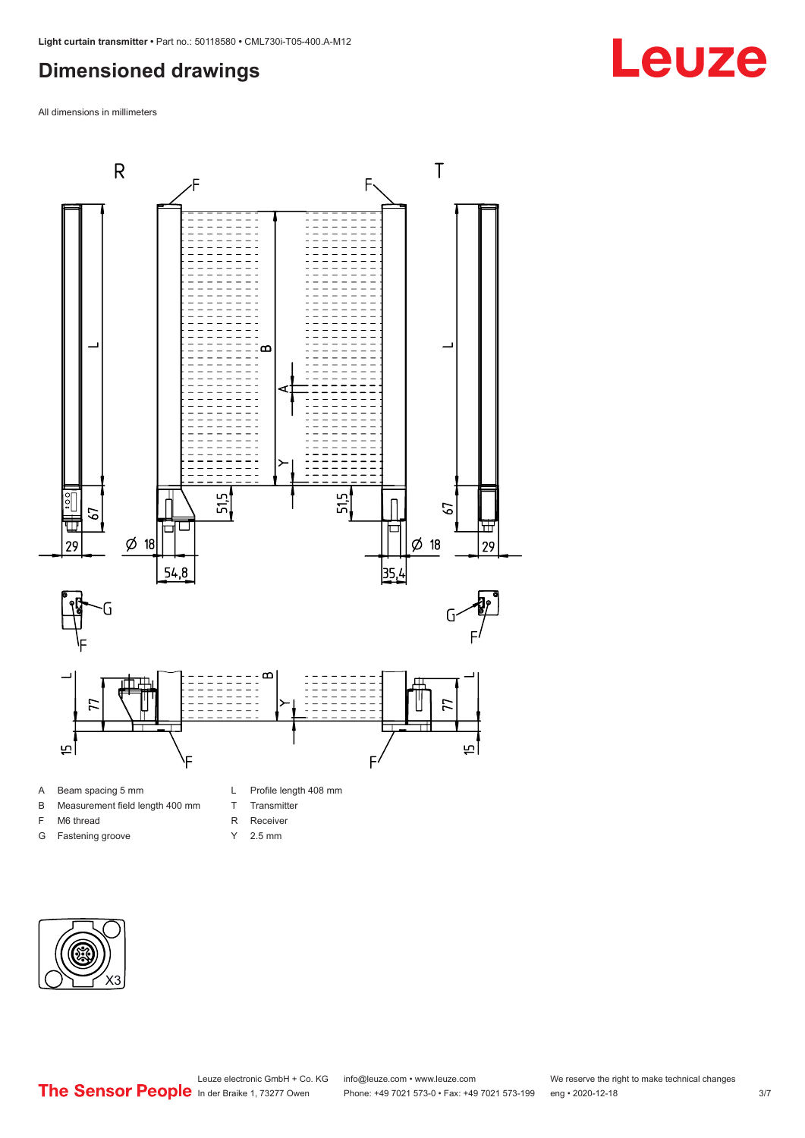### <span id="page-2-0"></span>**Dimensioned drawings**

All dimensions in millimeters



A Beam spacing 5 mm B Measurement field length 400 mm

F M6 thread G Fastening groove

- T Transmitter
- R Receiver
- Y 2.5 mm

X3

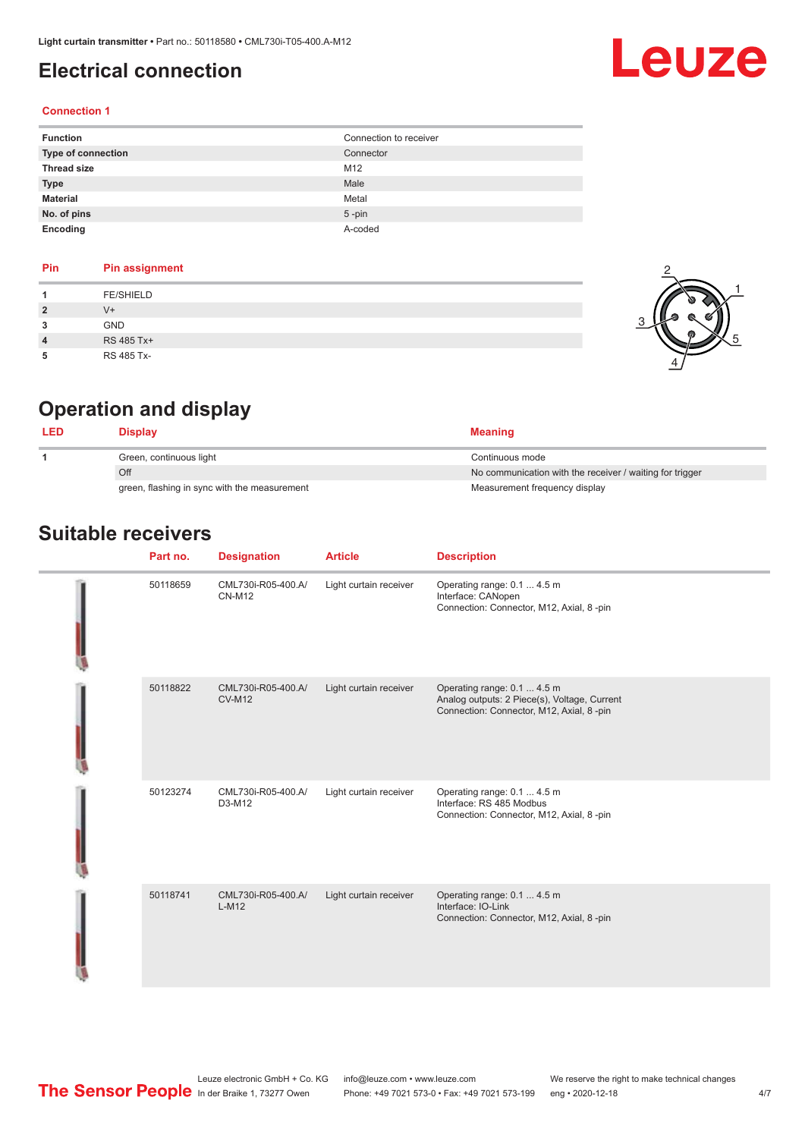### <span id="page-3-0"></span>**Electrical connection**

#### **Connection 1**

| <b>Function</b>    | Connection to receiver |
|--------------------|------------------------|
| Type of connection | Connector              |
| <b>Thread size</b> | M12                    |
| <b>Type</b>        | Male                   |
| <b>Material</b>    | Metal                  |
| No. of pins        | $5$ -pin               |
| Encoding           | A-coded                |

| Pin            | <b>Pin assignment</b> |
|----------------|-----------------------|
|                | <b>FE/SHIELD</b>      |
| $\overline{2}$ | $V +$                 |
| 3              | <b>GND</b>            |
| 4              | RS 485 Tx+            |
|                | RS 485 Tx-            |



Leuze

## **Operation and display**

| Display                                      | <b>Meaning</b>                                           |
|----------------------------------------------|----------------------------------------------------------|
| Green, continuous light                      | Continuous mode                                          |
| Off                                          | No communication with the receiver / waiting for trigger |
| green, flashing in sync with the measurement | Measurement frequency display                            |

### **Suitable receivers**

| Part no. | <b>Designation</b>                  | <b>Article</b>         | <b>Description</b>                                                                                                      |
|----------|-------------------------------------|------------------------|-------------------------------------------------------------------------------------------------------------------------|
| 50118659 | CML730i-R05-400.A/<br><b>CN-M12</b> | Light curtain receiver | Operating range: 0.1  4.5 m<br>Interface: CANopen<br>Connection: Connector, M12, Axial, 8 -pin                          |
| 50118822 | CML730i-R05-400.A/<br><b>CV-M12</b> | Light curtain receiver | Operating range: 0.1  4.5 m<br>Analog outputs: 2 Piece(s), Voltage, Current<br>Connection: Connector, M12, Axial, 8-pin |
| 50123274 | CML730i-R05-400.A/<br>D3-M12        | Light curtain receiver | Operating range: 0.1  4.5 m<br>Interface: RS 485 Modbus<br>Connection: Connector, M12, Axial, 8 -pin                    |
| 50118741 | CML730i-R05-400.A/<br>$L-M12$       | Light curtain receiver | Operating range: 0.1  4.5 m<br>Interface: IO-Link<br>Connection: Connector, M12, Axial, 8-pin                           |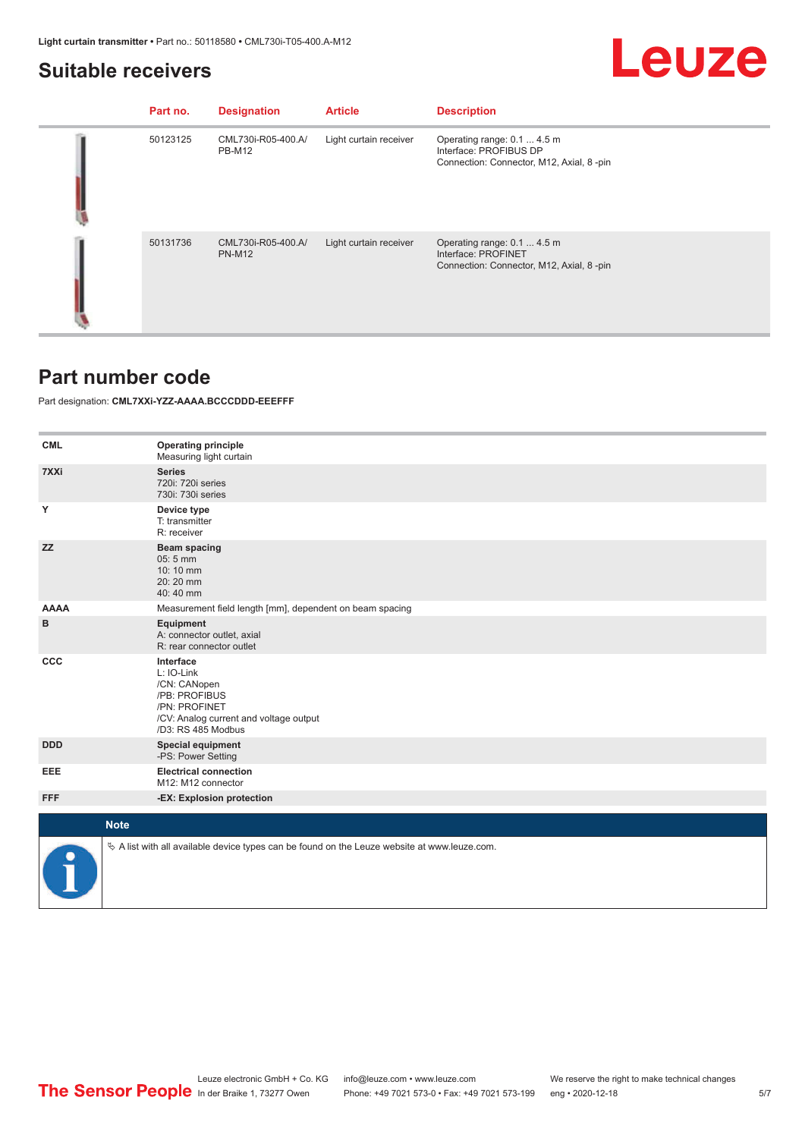## Leuze

#### <span id="page-4-0"></span>**Suitable receivers**

| Part no. | <b>Designation</b>                  | <b>Article</b>         | <b>Description</b>                                                                                 |
|----------|-------------------------------------|------------------------|----------------------------------------------------------------------------------------------------|
| 50123125 | CML730i-R05-400.A/<br><b>PB-M12</b> | Light curtain receiver | Operating range: 0.1  4.5 m<br>Interface: PROFIBUS DP<br>Connection: Connector, M12, Axial, 8 -pin |
| 50131736 | CML730i-R05-400.A/<br><b>PN-M12</b> | Light curtain receiver | Operating range: 0.1  4.5 m<br>Interface: PROFINET<br>Connection: Connector, M12, Axial, 8-pin     |

#### **Part number code**

Part designation: **CML7XXi-YZZ-AAAA.BCCCDDD-EEEFFF**

| <b>CML</b>  | <b>Operating principle</b><br>Measuring light curtain                                                                                     |
|-------------|-------------------------------------------------------------------------------------------------------------------------------------------|
| 7XXi        | <b>Series</b><br>720i: 720i series<br>730i: 730i series                                                                                   |
| Y           | Device type<br>T: transmitter<br>R: receiver                                                                                              |
| <b>ZZ</b>   | <b>Beam spacing</b><br>05:5 mm<br>10:10 mm<br>20:20 mm<br>40:40 mm                                                                        |
| <b>AAAA</b> | Measurement field length [mm], dependent on beam spacing                                                                                  |
| в           | <b>Equipment</b><br>A: connector outlet, axial<br>R: rear connector outlet                                                                |
| <b>CCC</b>  | Interface<br>L: IO-Link<br>/CN: CANopen<br>/PB: PROFIBUS<br>/PN: PROFINET<br>/CV: Analog current and voltage output<br>/D3: RS 485 Modbus |
| <b>DDD</b>  | <b>Special equipment</b><br>-PS: Power Setting                                                                                            |
| EEE         | <b>Electrical connection</b><br>M12: M12 connector                                                                                        |
| <b>FFF</b>  | -EX: Explosion protection                                                                                                                 |
|             |                                                                                                                                           |
| <b>Note</b> |                                                                                                                                           |
|             | $\&$ A list with all available device types can be found on the Leuze website at www.leuze.com.                                           |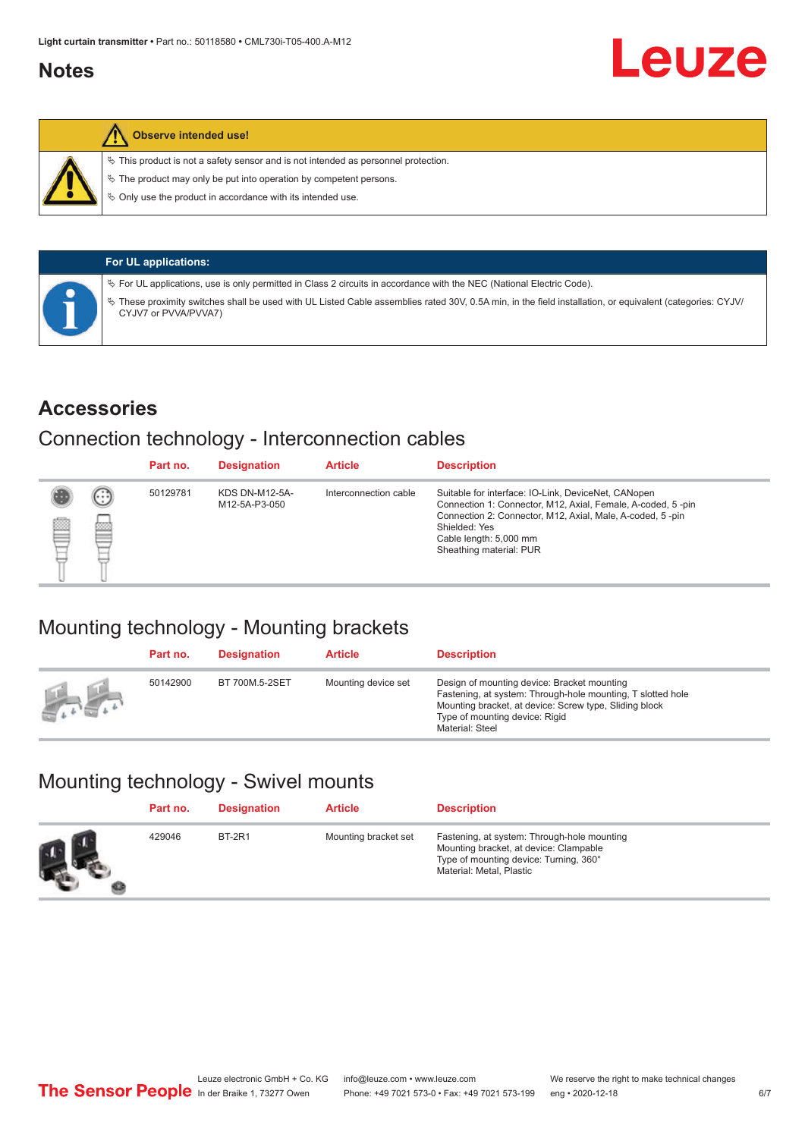#### <span id="page-5-0"></span>**Notes**

#### **Observe intended use!**

 $\%$  This product is not a safety sensor and is not intended as personnel protection.

 $\%$  The product may only be put into operation by competent persons.

 $\%$  Only use the product in accordance with its intended use.

| <b>For UL applications:</b>                                                                                                                                                       |
|-----------------------------------------------------------------------------------------------------------------------------------------------------------------------------------|
| $\%$ For UL applications, use is only permitted in Class 2 circuits in accordance with the NEC (National Electric Code).                                                          |
| V These proximity switches shall be used with UL Listed Cable assemblies rated 30V, 0.5A min, in the field installation, or equivalent (categories: CYJV/<br>CYJV7 or PVVA/PVVA7) |

#### **Accessories**

### Connection technology - Interconnection cables

|   |              | Part no. | <b>Designation</b>                     | <b>Article</b>        | <b>Description</b>                                                                                                                                                                                                                                    |
|---|--------------|----------|----------------------------------------|-----------------------|-------------------------------------------------------------------------------------------------------------------------------------------------------------------------------------------------------------------------------------------------------|
| Ø | $\odot$<br>p | 50129781 | <b>KDS DN-M12-5A-</b><br>M12-5A-P3-050 | Interconnection cable | Suitable for interface: IO-Link, DeviceNet, CANopen<br>Connection 1: Connector, M12, Axial, Female, A-coded, 5-pin<br>Connection 2: Connector, M12, Axial, Male, A-coded, 5-pin<br>Shielded: Yes<br>Cable length: 5,000 mm<br>Sheathing material: PUR |

## Mounting technology - Mounting brackets

|               | Part no. | <b>Designation</b> | <b>Article</b>      | <b>Description</b>                                                                                                                                                                                                        |
|---------------|----------|--------------------|---------------------|---------------------------------------------------------------------------------------------------------------------------------------------------------------------------------------------------------------------------|
| <b>Altres</b> | 50142900 | BT 700M.5-2SET     | Mounting device set | Design of mounting device: Bracket mounting<br>Fastening, at system: Through-hole mounting, T slotted hole<br>Mounting bracket, at device: Screw type, Sliding block<br>Type of mounting device: Rigid<br>Material: Steel |

## Mounting technology - Swivel mounts

| Part no. | <b>Designation</b> | <b>Article</b>       | <b>Description</b>                                                                                                                                          |
|----------|--------------------|----------------------|-------------------------------------------------------------------------------------------------------------------------------------------------------------|
| 429046   | <b>BT-2R1</b>      | Mounting bracket set | Fastening, at system: Through-hole mounting<br>Mounting bracket, at device: Clampable<br>Type of mounting device: Turning, 360°<br>Material: Metal, Plastic |

Leuze